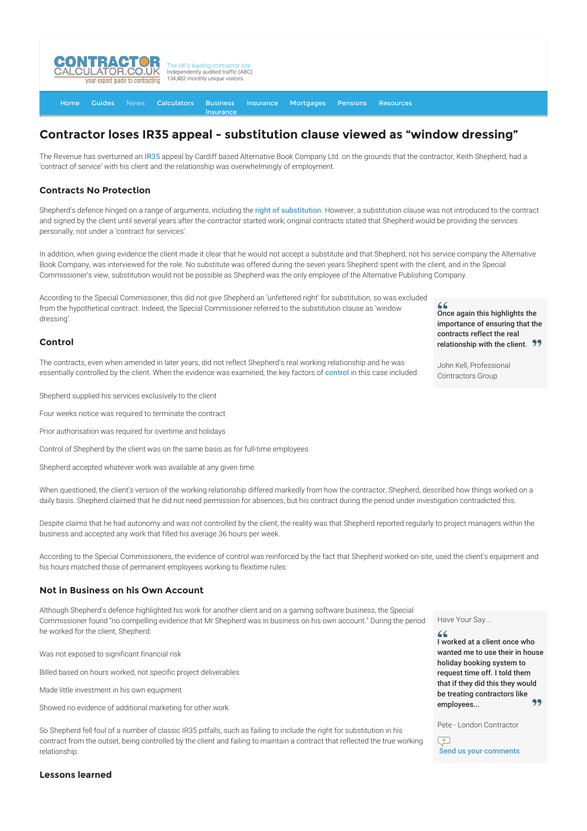

[Home](http://www.contractorcalculator.co.uk/) [Guides](http://www.contractorcalculator.co.uk/Articles.aspx) [News](http://www.contractorcalculator.co.uk/Contractor_News.aspx) [Calculators](http://www.contractorcalculator.co.uk/Calculators.aspx) Business [Insurance](http://www.contractorcalculator.co.uk/Contractor_Insurances.aspx) [Insurance](http://www.contractorcalculator.co.uk/Insurance.aspx) [Mortgages](http://www.contractorcalculator.co.uk/Contractor_Mortgages.aspx) [Pensions](http://www.contractorcalculator.co.uk/Contractor_Pensions.aspx) [Resources](http://www.contractorcalculator.co.uk/Contractor_Resources.aspx)

## **Contractor loses IR35 appeal - substitution clause viewed as "window dressing"**

The Revenue has overturned an [IR35](http://www.contractorcalculator.co.uk/what_is_ir35.aspx) appeal by Cardiff based Alternative Book Company Ltd. on the grounds that the contractor, Keith Shepherd, had a 'contract of service' with his client and the relationship was overwhelmingly of employment.

## **Contracts No Protection**

Shepherd's defence hinged on a range of arguments, including the [right of substitution](http://www.contractorcalculator.co.uk/contractors_right_of_substitution.aspx). However, a substitution clause was not introduced to the contract and signed by the client until several years after the contractor started work; original contracts stated that Shepherd would be providing the services personally, not under a 'contract for services'.

In addition, when giving evidence the client made it clear that he would not accept a substitute and that Shepherd, not his service company the Alternative Book Company, was interviewed for the role. No substitute was offered during the seven years Shepherd spent with the client, and in the Special Commissioner's view, substitution would not be possible as Shepherd was the only employee of the Alternative Publishing Company.

According to the Special Commissioner, this did not give Shepherd an 'unfettered right' for substitution, so was excluded from the hypothetical contract. Indeed, the Special Commissioner referred to the substitution clause as 'window dressing'.

## **Control**

The contracts, even when amended in later years, did not reflect Shepherd's real working relationship and he was essentially [control](http://www.contractorcalculator.co.uk/contractors_ir35_control.aspx)led by the client. When the evidence was examined, the key factors of control in this case included:

Shepherd supplied his services exclusively to the client

Four weeks notice was required to terminate the contract

Prior authorisation was required for overtime and holidays

Control of Shepherd by the client was on the same basis as for full-time employees

Shepherd accepted whatever work was available at any given time.

When questioned, the client's version of the working relationship differed markedly from how the contractor, Shepherd, described how things worked on a daily basis. Shepherd claimed that he did not need permission for absences, but his contract during the period under investigation contradicted this.

Despite claims that he had autonomy and was not controlled by the client, the reality was that Shepherd reported regularly to project managers within the business and accepted any work that filled his average 36 hours per week.

According to the Special Commissioners, the evidence of control was reinforced by the fact that Shepherd worked on-site, used the client's equipment and his hours matched those of permanent employees working to flexitime rules.

## **Not in Business on his Own Account**

Although Shepherd's defence highlighted his work for another client and on a gaming software business, the Special Commissioner found "no compelling evidence that Mr Shepherd was in business on his own account." During the period he worked for the client, Shepherd:

Was not exposed to significant financial risk

Billed based on hours worked, not specific project deliverables

Made little investment in his own equipment

Showed no evidence of additional marketing for other work.

So Shepherd fell foul of a number of classic IR35 pitfalls, such as failing to include the right for substitution in his contract from the outset, being controlled by the client and failing to maintain a contract that reflected the true working relationship.

Have Your Say...

I worked at a client once who wanted me to use their in house holiday booking system to request time off. I told them that if they did this they would be treating contractors like employees...

Pete - London Contractor

 $+$ Send us your comments

**Lessons learned**

Once again this highlights the importance of ensuring that the contracts reflect the real

John Kell, Professional Contractors Group

relationship with the client. 99